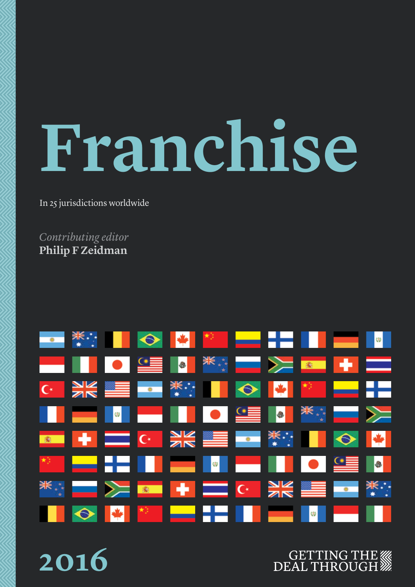# **Franchise**

In 25 jurisdictions worldwide

*Contributing editor* **Philip F Zeidman**

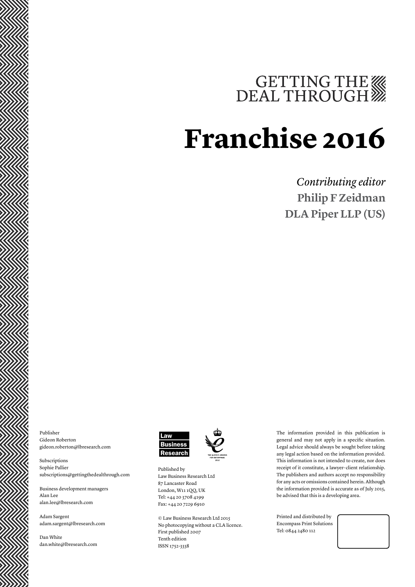# GETTING THE

# **Franchise 2016**

# *Contributing editor* **Philip F Zeidman DLA Piper LLP (US)**

Publisher Gideon Roberton gideon.roberton@lbresearch.com

Subscriptions Sophie Pallier subscriptions@gettingthedealthrough.com

Business development managers Alan Lee alan.lee@lbresearch.com

Adam Sargent adam.sargent@lbresearch.com

Dan White dan.white@lbresearch.com



Published by Law Business Research Ltd 87 Lancaster Road London, W11 1QQ, UK Tel: +44 20 3708 4199 Fax: +44 20 7229 6910

© Law Business Research Ltd 2015 No photocopying without a CLA licence. First published 2007 Tenth edition ISSN 1752-3338

The information provided in this publication is general and may not apply in a specific situation. Legal advice should always be sought before taking any legal action based on the information provided. This information is not intended to create, nor does receipt of it constitute, a lawyer–client relationship. The publishers and authors accept no responsibility for any acts or omissions contained herein. Although the information provided is accurate as of July 2015, be advised that this is a developing area.

Printed and distributed by Encompass Print Solutions Tel: 0844 2480 112

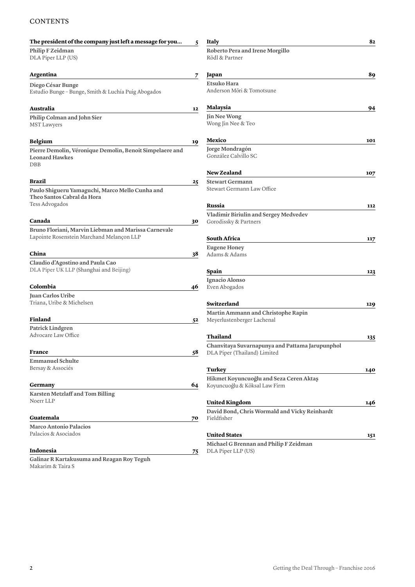### **CONTENTS**

| The president of the company just left a message for you                                        | 5  | <b>Italy</b>                                                                    | 82  |
|-------------------------------------------------------------------------------------------------|----|---------------------------------------------------------------------------------|-----|
| Philip F Zeidman<br>DLA Piper LLP (US)                                                          |    | Roberto Pera and Irene Morgillo<br>Rödl & Partner                               |     |
| Argentina                                                                                       | 7  | Japan                                                                           | 89  |
| Diego César Bunge<br>Estudio Bunge - Bunge, Smith & Luchía Puig Abogados                        |    | <b>Etsuko Hara</b><br>Anderson Mōri & Tomotsune                                 |     |
| Australia                                                                                       | 12 | Malaysia                                                                        | 94  |
| Philip Colman and John Sier<br>MST Lawyers                                                      |    | Jin Nee Wong<br>Wong Jin Nee & Teo                                              |     |
| <b>Belgium</b>                                                                                  | 19 | Mexico                                                                          | 101 |
| Pierre Demolin, Véronique Demolin, Benoit Simpelaere and<br><b>Leonard Hawkes</b><br>DBB        |    | Jorge Mondragón<br>González Calvillo SC                                         |     |
|                                                                                                 |    | <b>New Zealand</b>                                                              | 107 |
| Brazil                                                                                          | 25 | <b>Stewart Germann</b>                                                          |     |
| Paulo Shigueru Yamaguchi, Marco Mello Cunha and<br>Theo Santos Cabral da Hora<br>Tess Advogados |    | Stewart Germann Law Office                                                      |     |
|                                                                                                 |    | Russia                                                                          | 112 |
| Canada                                                                                          | 30 | Vladimir Biriulin and Sergey Medvedev<br>Gorodissky & Partners                  |     |
| Bruno Floriani, Marvin Liebman and Marissa Carnevale                                            |    |                                                                                 |     |
| Lapointe Rosenstein Marchand Melançon LLP                                                       |    | <b>South Africa</b>                                                             | 117 |
|                                                                                                 |    | <b>Eugene Honey</b>                                                             |     |
| China                                                                                           | 38 | Adams & Adams                                                                   |     |
| Claudio d'Agostino and Paula Cao<br>DLA Piper UK LLP (Shanghai and Beijing)                     |    | Spain                                                                           | 123 |
| Colombia                                                                                        |    | Ignacio Alonso                                                                  |     |
| Juan Carlos Uribe                                                                               | 46 | Even Abogados                                                                   |     |
| Triana, Uribe & Michelsen                                                                       |    | Switzerland                                                                     | 129 |
|                                                                                                 |    | Martin Ammann and Christophe Rapin                                              |     |
| Finland                                                                                         | 52 | Meyerlustenberger Lachenal                                                      |     |
| Patrick Lindgren                                                                                |    |                                                                                 |     |
| Advocare Law Office                                                                             |    | Thailand                                                                        | 135 |
| <b>France</b>                                                                                   | 58 | Chanvitaya Suvarnapunya and Pattama Jarupunphol<br>DLA Piper (Thailand) Limited |     |
| <b>Emmanuel Schulte</b>                                                                         |    |                                                                                 |     |
| Bersay & Associés                                                                               |    | <b>Turkey</b>                                                                   | 140 |
|                                                                                                 |    | Hikmet Koyuncuoğlu and Seza Ceren Aktaş                                         |     |
| Germany                                                                                         | 64 | Koyuncuoğlu & Köksal Law Firm                                                   |     |
| Karsten Metzlaff and Tom Billing                                                                |    |                                                                                 |     |
| Noerr LLP                                                                                       |    | <b>United Kingdom</b>                                                           | 146 |
| Guatemala                                                                                       | 70 | David Bond, Chris Wormald and Vicky Reinhardt<br>Fieldfisher                    |     |
| <b>Marco Antonio Palacios</b>                                                                   |    |                                                                                 |     |
| Palacios & Asociados                                                                            |    | <b>United States</b>                                                            | 151 |
|                                                                                                 |    | Michael G Brennan and Philip F Zeidman                                          |     |
| Indonesia                                                                                       | 75 | DLA Piper LLP (US)                                                              |     |
| Galinar R Kartakusuma and Reagan Roy Teguh<br>Makarim & Taira S                                 |    |                                                                                 |     |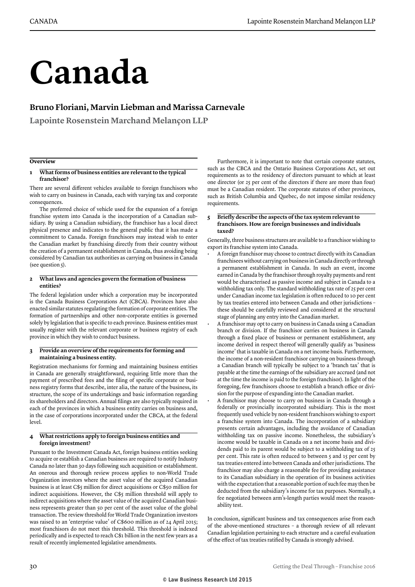# **Canada**

### **Bruno Floriani, Marvin Liebman and Marissa Carnevale**

**Lapointe Rosenstein Marchand Melançon LLP**

#### **Overview**

#### **1 What forms of business entities are relevant to the typical franchisor?**

There are several different vehicles available to foreign franchisors who wish to carry on business in Canada, each with varying tax and corporate consequences.

The preferred choice of vehicle used for the expansion of a foreign franchise system into Canada is the incorporation of a Canadian subsidiary. By using a Canadian subsidiary, the franchisor has a local direct physical presence and indicates to the general public that it has made a commitment to Canada. Foreign franchisors may instead wish to enter the Canadian market by franchising directly from their country without the creation of a permanent establishment in Canada, thus avoiding being considered by Canadian tax authorities as carrying on business in Canada (see question  $\zeta$ ).

#### **2 What laws and agencies govern the formation of business entities?**

The federal legislation under which a corporation may be incorporated is the Canada Business Corporations Act (CBCA). Provinces have also enacted similar statutes regulating the formation of corporate entities. The formation of partnerships and other non-corporate entities is governed solely by legislation that is specific to each province. Business entities must usually register with the relevant corporate or business registry of each province in which they wish to conduct business.

#### **3 Provide an overview of the requirements for forming and maintaining a business entity.**

Registration mechanisms for forming and maintaining business entities in Canada are generally straightforward, requiring little more than the payment of prescribed fees and the filing of specific corporate or business registry forms that describe, inter alia, the nature of the business, its structure, the scope of its undertakings and basic information regarding its shareholders and directors. Annual filings are also typically required in each of the provinces in which a business entity carries on business and, in the case of corporations incorporated under the CBCA, at the federal level.

#### **4 What restrictions apply to foreign business entities and foreign investment?**

Pursuant to the Investment Canada Act, foreign business entities seeking to acquire or establish a Canadian business are required to notify Industry Canada no later than 30 days following such acquisition or establishment. An onerous and thorough review process applies to non-World Trade Organization investors where the asset value of the acquired Canadian business is at least C\$5 million for direct acquisitions or C\$50 million for indirect acquisitions. However, the C\$5 million threshold will apply to indirect acquisitions where the asset value of the acquired Canadian business represents greater than 50 per cent of the asset value of the global transaction. The review threshold for World Trade Organization investors was raised to an 'enterprise value' of C\$600 million as of 24 April 2015; most franchisors do not meet this threshold. This threshold is indexed periodically and is expected to reach C\$1 billion in the next few years as a result of recently implemented legislative amendments.

Furthermore, it is important to note that certain corporate statutes, such as the CBCA and the Ontario Business Corporations Act, set out requirements as to the residency of directors pursuant to which at least one director (or 25 per cent of the directors if there are more than four) must be a Canadian resident. The corporate statutes of other provinces, such as British Columbia and Quebec, do not impose similar residency requirements.

#### **5 Briefly describe the aspects of the tax system relevant to franchisors. How are foreign businesses and individuals taxed?**

Generally, three business structures are available to a franchisor wishing to export its franchise system into Canada.

- A foreign franchisor may choose to contract directly with its Canadian franchisees without carrying on business in Canada directly or through a permanent establishment in Canada. In such an event, income earned in Canada by the franchisor through royalty payments and rent would be characterised as passive income and subject in Canada to a withholding tax only. The standard withholding tax rate of 25 per cent under Canadian income tax legislation is often reduced to 10 per cent by tax treaties entered into between Canada and other jurisdictions – these should be carefully reviewed and considered at the structural stage of planning any entry into the Canadian market.
- A franchisor may opt to carry on business in Canada using a Canadian branch or division. If the franchisor carries on business in Canada through a fixed place of business or permanent establishment, any income derived in respect thereof will generally qualify as 'business income' that is taxable in Canada on a net income basis. Furthermore, the income of a non-resident franchisor carrying on business through a Canadian branch will typically be subject to a 'branch tax' that is payable at the time the earnings of the subsidiary are accrued (and not at the time the income is paid to the foreign franchisor). In light of the foregoing, few franchisors choose to establish a branch office or division for the purpose of expanding into the Canadian market.
- A franchisor may choose to carry on business in Canada through a federally or provincially incorporated subsidiary. This is the most frequently used vehicle by non-resident franchisors wishing to export a franchise system into Canada. The incorporation of a subsidiary presents certain advantages, including the avoidance of Canadian withholding tax on passive income. Nonetheless, the subsidiary's income would be taxable in Canada on a net income basis and dividends paid to its parent would be subject to a withholding tax of 25 per cent. This rate is often reduced to between 5 and 15 per cent by tax treaties entered into between Canada and other jurisdictions. The franchisor may also charge a reasonable fee for providing assistance to its Canadian subsidiary in the operation of its business activities with the expectation that a reasonable portion of such fee may then be deducted from the subsidiary's income for tax purposes. Normally, a fee negotiated between arm's-length parties would meet the reasonability test.

In conclusion, significant business and tax consequences arise from each of the above-mentioned structures – a thorough review of all relevant Canadian legislation pertaining to each structure and a careful evaluation of the effect of tax treaties ratified by Canada is strongly advised.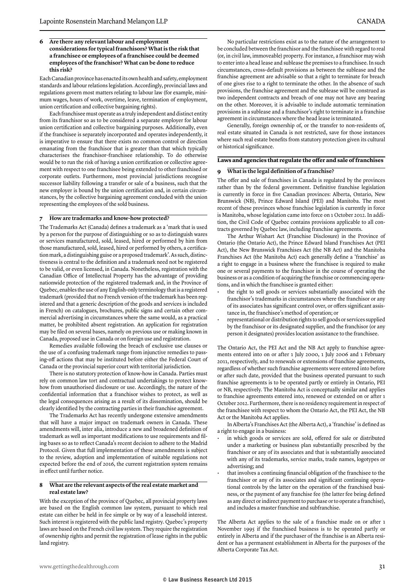#### **6 Are there any relevant labour and employment considerations for typical franchisors? What is the risk that a franchisee or employees of a franchisee could be deemed employees of the franchisor? What can be done to reduce this risk?**

Each Canadian province has enacted its own health and safety, employment standards and labour relations legislation. Accordingly, provincial laws and regulations govern most matters relating to labour law (for example, minimum wages, hours of work, overtime, leave, termination of employment, union certification and collective bargaining rights).

Each franchisee must operate as a truly independent and distinct entity from its franchisor so as to be considered a separate employer for labour union certification and collective bargaining purposes. Additionally, even if the franchisee is separately incorporated and operates independently, it is imperative to ensure that there exists no common control or direction emanating from the franchisor that is greater than that which typically characterises the franchisor–franchisee relationship. To do otherwise would be to run the risk of having a union certification or collective agreement with respect to one franchisee being extended to other franchised or corporate outlets. Furthermore, most provincial jurisdictions recognise successor liability following a transfer or sale of a business, such that the new employer is bound by the union certification and, in certain circumstances, by the collective bargaining agreement concluded with the union representing the employees of the sold business.

#### **7 How are trademarks and know-how protected?**

The Trademarks Act (Canada) defines a trademark as a 'mark that is used by a person for the purpose of distinguishing or so as to distinguish wares or services manufactured, sold, leased, hired or performed by him from those manufactured, sold, leased, hired or performed by others, a certification mark, a distinguishing guise or a proposed trademark'. As such, distinctiveness is central to the definition and a trademark need not be registered to be valid, or even licensed, in Canada. Nonetheless, registration with the Canadian Office of Intellectual Property has the advantage of providing nationwide protection of the registered trademark and, in the Province of Quebec, enables the use of any English-only terminology that is a registered trademark (provided that no French version of the trademark has been registered and that a generic description of the goods and services is included in French) on catalogues, brochures, public signs and certain other commercial advertising in circumstances where the same would, as a practical matter, be prohibited absent registration. An application for registration may be filed on several bases, namely on previous use or making known in Canada, proposed use in Canada or on foreign use and registration.

Remedies available following the breach of exclusive use clauses or the use of a confusing trademark range from injunctive remedies to passing-off actions that may be instituted before either the Federal Court of Canada or the provincial superior court with territorial jurisdiction.

There is no statutory protection of know-how in Canada. Parties must rely on common law tort and contractual undertakings to protect knowhow from unauthorised disclosure or use. Accordingly, the nature of the confidential information that a franchisor wishes to protect, as well as the legal consequences arising as a result of its dissemination, should be clearly identified by the contracting parties in their franchise agreement.

The Trademarks Act has recently undergone extensive amendments that will have a major impact on trademark owners in Canada. These amendments will, inter alia, introduce a new and broadened definition of trademark as well as important modifications to use requirements and filing bases so as to reflect Canada's recent decision to adhere to the Madrid Protocol. Given that full implementation of these amendments is subject to the review, adoption and implementation of suitable regulations not expected before the end of 2016, the current registration system remains in effect until further notice.

#### **8 What are the relevant aspects of the real estate market and real estate law?**

With the exception of the province of Quebec, all provincial property laws are based on the English common law system, pursuant to which real estate can either be held in fee simple or by way of a leasehold interest. Such interest is registered with the public land registry. Quebec's property laws are based on the French civil law system. They require the registration of ownership rights and permit the registration of lease rights in the public land registry.

No particular restrictions exist as to the nature of the arrangement to be concluded between the franchisor and the franchisee with regard to real (or, in civil law, immoveable) property. For instance, a franchisor may wish to enter into a head lease and sublease the premises to a franchisee. In such circumstances, cross-default provisions as between the sublease and the franchise agreement are advisable so that a right to terminate for breach of one gives rise to a right to terminate the other. In the absence of such provisions, the franchise agreement and the sublease will be construed as two independent contracts and breach of one may not have any bearing on the other. Moreover, it is advisable to include automatic termination provisions in a sublease and a franchisor's right to terminate in a franchise agreement in circumstances where the head lease is terminated.

Generally, foreign ownership of, or the transfer to non-residents of, real estate situated in Canada is not restricted, save for those instances where such real estate benefits from statutory protection given its cultural or historical significance.

#### **Laws and agencies that regulate the offer and sale of franchises**

#### **9 What is the legal definition of a franchise?**

The offer and sale of franchises in Canada is regulated by the provinces rather than by the federal government. Definitive franchise legislation is currently in force in five Canadian provinces: Alberta, Ontario, New Brunswick (NB), Prince Edward Island (PEI) and Manitoba. The most recent of these provinces whose franchise legislation is currently in force is Manitoba, whose legislation came into force on 1 October 2012. In addition, the Civil Code of Quebec contains provisions applicable to all contracts governed by Quebec law, including franchise agreements.

The Arthur Wishart Act (Franchise Disclosure) in the Province of Ontario (the Ontario Act), the Prince Edward Island Franchises Act (PEI Act), the New Brunswick Franchises Act (the NB Act) and the Manitoba Franchises Act (the Manitoba Act) each generally define a 'franchise' as a right to engage in a business where the franchisee is required to make one or several payments to the franchisor in the course of operating the business or as a condition of acquiring the franchise or commencing operations, and in which the franchisee is granted either:

- the right to sell goods or services substantially associated with the franchisor's trademarks in circumstances where the franchisor or any of its associates has significant control over, or offers significant assistance in, the franchisee's method of operation; or
- representational or distribution rights to sell goods or services supplied by the franchisor or its designated supplier, and the franchisor (or any person it designates) provides location assistance to the franchisee.

The Ontario Act, the PEI Act and the NB Act apply to franchise agreements entered into on or after 1 July 2000, 1 July 2006 and 1 February 2011, respectively, and to renewals or extensions of franchise agreements, regardless of whether such franchise agreements were entered into before or after such date, provided that the business operated pursuant to such franchise agreements is to be operated partly or entirely in Ontario, PEI or NB, respectively. The Manitoba Act is conceptually similar and applies to franchise agreements entered into, renewed or extended on or after 1 October 2012. Furthermore, there is no residency requirement in respect of the franchisee with respect to whom the Ontario Act, the PEI Act, the NB Act or the Manitoba Act applies.

In Alberta's Franchises Act (the Alberta Act), a 'franchise' is defined as a right to engage in a business:

- in which goods or services are sold, offered for sale or distributed under a marketing or business plan substantially prescribed by the franchisor or any of its associates and that is substantially associated with any of its trademarks, service marks, trade names, logotypes or advertising; and
- that involves a continuing financial obligation of the franchisee to the franchisor or any of its associates and significant continuing operational controls by the latter on the operation of the franchised business, or the payment of any franchise fee (the latter fee being defined as any direct or indirect payment to purchase or to operate a franchise), and includes a master franchise and subfranchise.

The Alberta Act applies to the sale of a franchise made on or after 1 November 1995 if the franchised business is to be operated partly or entirely in Alberta and if the purchaser of the franchise is an Alberta resident or has a permanent establishment in Alberta for the purposes of the Alberta Corporate Tax Act.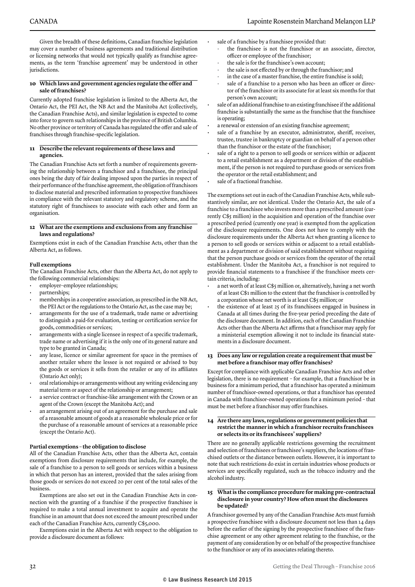Given the breadth of these definitions, Canadian franchise legislation may cover a number of business agreements and traditional distribution or licensing networks that would not typically qualify as franchise agreements, as the term 'franchise agreement' may be understood in other jurisdictions.

#### **10 Which laws and government agencies regulate the offer and sale of franchises?**

Currently adopted franchise legislation is limited to the Alberta Act, the Ontario Act, the PEI Act, the NB Act and the Manitoba Act (collectively, the Canadian Franchise Acts), and similar legislation is expected to come into force to govern such relationships in the province of British Columbia. No other province or territory of Canada has regulated the offer and sale of franchises through franchise-specific legislation.

#### **11 Describe the relevant requirements of these laws and agencies.**

The Canadian Franchise Acts set forth a number of requirements governing the relationship between a franchisor and a franchisee, the principal ones being the duty of fair dealing imposed upon the parties in respect of their performance of the franchise agreement, the obligation of franchisors to disclose material and prescribed information to prospective franchisees in compliance with the relevant statutory and regulatory scheme, and the statutory right of franchisees to associate with each other and form an organisation.

#### **12 What are the exemptions and exclusions from any franchise laws and regulations?**

Exemptions exist in each of the Canadian Franchise Acts, other than the Alberta Act, as follows.

#### **Full exemptions**

The Canadian Franchise Acts, other than the Alberta Act, do not apply to the following commercial relationships:

- employer–employee relationships;
- partnerships;
- memberships in a cooperative association, as prescribed in the NB Act, the PEI Act or the regulations to the Ontario Act, as the case may be;
- arrangements for the use of a trademark, trade name or advertising to distinguish a paid-for evaluation, testing or certification service for goods, commodities or services;
- arrangements with a single licensee in respect of a specific trademark, trade name or advertising if it is the only one of its general nature and type to be granted in Canada;
- any lease, licence or similar agreement for space in the premises of another retailer where the lessee is not required or advised to buy the goods or services it sells from the retailer or any of its affiliates (Ontario Act only);
- oral relationships or arrangements without any writing evidencing any material term or aspect of the relationship or arrangement;
- a service contract or franchise-like arrangement with the Crown or an agent of the Crown (except the Manitoba Act); and
- an arrangement arising out of an agreement for the purchase and sale of a reasonable amount of goods at a reasonable wholesale price or for the purchase of a reasonable amount of services at a reasonable price (except the Ontario Act).

#### **Partial exemptions – the obligation to disclose**

All of the Canadian Franchise Acts, other than the Alberta Act, contain exemptions from disclosure requirements that include, for example, the sale of a franchise to a person to sell goods or services within a business in which that person has an interest, provided that the sales arising from those goods or services do not exceed 20 per cent of the total sales of the business.

Exemptions are also set out in the Canadian Franchise Acts in connection with the granting of a franchise if the prospective franchisee is required to make a total annual investment to acquire and operate the franchise in an amount that does not exceed the amount prescribed under each of the Canadian Franchise Acts, currently C\$5,000.

Exemptions exist in the Alberta Act with respect to the obligation to provide a disclosure document as follows:

- the franchisee is not the franchisor or an associate, director, officer or employee of the franchisor;
- the sale is for the franchisee's own account;
- the sale is not effected by or through the franchisor; and
- in the case of a master franchise, the entire franchise is sold;
- sale of a franchise to a person who has been an officer or director of the franchisor or its associate for at least six months for that person's own account;
- sale of an additional franchise to an existing franchisee if the additional franchise is substantially the same as the franchise that the franchisee is operating;
- a renewal or extension of an existing franchise agreement;
- sale of a franchise by an executor, administrator, sheriff, receiver, trustee, trustee in bankruptcy or guardian on behalf of a person other than the franchisor or the estate of the franchisor;
- sale of a right to a person to sell goods or services within or adjacent to a retail establishment as a department or division of the establishment, if the person is not required to purchase goods or services from the operator or the retail establishment; and
- sale of a fractional franchise.

The exemptions set out in each of the Canadian Franchise Acts, while substantively similar, are not identical. Under the Ontario Act, the sale of a franchise to a franchisee who invests more than a prescribed amount (currently C\$5 million) in the acquisition and operation of the franchise over a prescribed period (currently one year) is exempted from the application of the disclosure requirements. One does not have to comply with the disclosure requirements under the Alberta Act when granting a licence to a person to sell goods or services within or adjacent to a retail establishment as a department or division of said establishment without requiring that the person purchase goods or services from the operator of the retail establishment. Under the Manitoba Act, a franchisor is not required to provide financial statements to a franchisee if the franchisor meets certain criteria, including:

- a net worth of at least C\$5 million or, alternatively, having a net worth of at least C\$1 million to the extent that the franchisor is controlled by a corporation whose net worth is at least C\$5 million; or
- the existence of at least 25 of its franchisees engaged in business in Canada at all times during the five-year period preceding the date of the disclosure document. In addition, each of the Canadian Franchise Acts other than the Alberta Act affirms that a franchisor may apply for a ministerial exemption allowing it not to include its financial statements in a disclosure document.

#### **13 Does any law or regulation create a requirement that must be met before a franchisor may offer franchises?**

Except for compliance with applicable Canadian Franchise Acts and other legislation, there is no requirement – for example, that a franchisor be in business for a minimum period, that a franchisor has operated a minimum number of franchisor-owned operations, or that a franchisor has operated in Canada with franchisor-owned operations for a minimum period – that must be met before a franchisor may offer franchises.

#### **14 Are there any laws, regulations or government policies that restrict the manner in which a franchisor recruits franchisees or selects its or its franchisees' suppliers?**

There are no generally applicable restrictions governing the recruitment and selection of franchisees or franchisee's suppliers, the locations of franchised outlets or the distance between outlets. However, it is important to note that such restrictions do exist in certain industries whose products or services are specifically regulated, such as the tobacco industry and the alcohol industry.

#### **15 What is the compliance procedure for making pre-contractual disclosure in your country? How often must the disclosures be updated?**

A franchisor governed by any of the Canadian Franchise Acts must furnish a prospective franchisee with a disclosure document not less than 14 days before the earlier of the signing by the prospective franchisee of the franchise agreement or any other agreement relating to the franchise, or the payment of any consideration by or on behalf of the prospective franchisee to the franchisor or any of its associates relating thereto.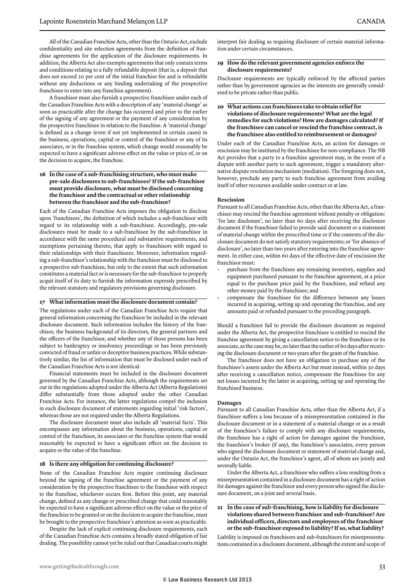All of the Canadian Franchise Acts, other than the Ontario Act, exclude confidentiality and site selection agreements from the definition of franchise agreements for the application of the disclosure requirements. In addition, the Alberta Act also exempts agreements that only contain terms and conditions relating to a fully refundable deposit (that is, a deposit that does not exceed 20 per cent of the initial franchise fee and is refundable without any deductions or any binding undertaking of the prospective franchisee to enter into any franchise agreement).

A franchisor must also furnish a prospective franchisee under each of the Canadian Franchise Acts with a description of any 'material change' as soon as practicable after the change has occurred and prior to the earlier of the signing of any agreement or the payment of any consideration by the prospective franchisee in relation to the franchise. A 'material change' is defined as a change (even if not yet implemented in certain cases) in the business, operations, capital or control of the franchisor or any of its associates, or in the franchise system, which change would reasonably be expected to have a significant adverse effect on the value or price of, or on the decision to acquire, the franchise.

**16 In the case of a sub-franchising structure, who must make pre-sale disclosures to sub-franchisees? If the sub-franchisor must provide disclosure, what must be disclosed concerning the franchisor and the contractual or other relationship between the franchisor and the sub-franchisor?**

Each of the Canadian Franchise Acts imposes the obligation to disclose upon 'franchisors', the definition of which includes a sub-franchisor with regard to its relationship with a sub-franchisee. Accordingly, pre-sale disclosures must be made to a sub-franchisee by the sub-franchisor in accordance with the same procedural and substantive requirements, and exemptions pertaining thereto, that apply to franchisors with regard to their relationships with their franchisees. Moreover, information regarding a sub-franchisor's relationship with the franchisor must be disclosed to a prospective sub-franchisee, but only to the extent that such information constitutes a material fact or is necessary for the sub-franchisor to properly acquit itself of its duty to furnish the information expressly prescribed by the relevant statutory and regulatory provisions governing disclosure.

#### **17 What information must the disclosure document contain?**

The regulations under each of the Canadian Franchise Acts require that general information concerning the franchisor be included in the relevant disclosure document. Such information includes the history of the franchisor, the business background of its directors, the general partners and the officers of the franchisor, and whether any of those persons has been subject to bankruptcy or insolvency proceedings or has been previously convicted of fraud or unfair or deceptive business practices. While substantively similar, the list of information that must be disclosed under each of the Canadian Franchise Acts is not identical.

Financial statements must be included in the disclosure document governed by the Canadian Franchise Acts, although the requirements set out in the regulations adopted under the Alberta Act (Alberta Regulations) differ substantially from those adopted under the other Canadian Franchise Acts. For instance, the latter regulations compel the inclusion in each disclosure document of statements regarding initial 'risk factors', whereas those are not required under the Alberta Regulations.

The disclosure document must also include all 'material facts'. This encompasses any information about the business, operations, capital or control of the franchisor, its associates or the franchise system that would reasonably be expected to have a significant effect on the decision to acquire or the value of the franchise.

#### **18 Is there any obligation for continuing disclosure?**

None of the Canadian Franchise Acts require continuing disclosure beyond the signing of the franchise agreement or the payment of any consideration by the prospective franchisee to the franchisor with respect to the franchise, whichever occurs first. Before this point, any material change, defined as any change or prescribed change that could reasonably be expected to have a significant adverse effect on the value or the price of the franchise to be granted or on the decision to acquire the franchise, must be brought to the prospective franchisee's attention as soon as practicable.

Despite the lack of explicit continuing disclosure requirements, each of the Canadian Franchise Acts contains a broadly stated obligation of fair dealing. The possibility cannot yet be ruled out that Canadian courts might interpret fair dealing as requiring disclosure of certain material information under certain circumstances.

#### **19 How do the relevant government agencies enforce the disclosure requirements?**

Disclosure requirements are typically enforced by the affected parties rather than by government agencies as the interests are generally considered to be private rather than public.

**20 What actions can franchisees take to obtain relief for violations of disclosure requirements? What are the legal remedies for such violations? How are damages calculated? If the franchisee can cancel or rescind the franchise contract, is the franchisee also entitled to reimbursement or damages?**

Under each of the Canadian Franchise Acts, an action for damages or rescission may be instituted by the franchisee for non-compliance. The NB Act provides that a party to a franchise agreement may, in the event of a dispute with another party to such agreement, trigger a mandatory alternative dispute resolution mechanism (mediation). The foregoing does not, however, preclude any party to such franchise agreement from availing itself of other recourses available under contract or at law.

#### **Rescission**

Pursuant to all Canadian Franchise Acts, other than the Alberta Act, a franchisee may rescind the franchise agreement without penalty or obligation: 'for late disclosure', no later than 60 days after receiving the disclosure document if the franchisor failed to provide said document or a statement of material change within the prescribed time or if the contents of the disclosure document do not satisfy statutory requirements; or 'for absence of disclosure', no later than two years after entering into the franchise agreement. In either case, within 60 days of the effective date of rescission the franchisor must:

- purchase from the franchisee any remaining inventory, supplies and equipment purchased pursuant to the franchise agreement, at a price equal to the purchase price paid by the franchisee, and refund any other money paid by the franchisee; and
- compensate the franchisee for the difference between any losses incurred in acquiring, setting up and operating the franchise, and any amounts paid or refunded pursuant to the preceding paragraph.

Should a franchisor fail to provide the disclosure document as required under the Alberta Act, the prospective franchisee is entitled to rescind the franchise agreement by giving a cancellation notice to the franchisor or its associate, as the case may be, no later than the earlier of 60 days after receiving the disclosure document or two years after the grant of the franchise.

The franchisor does not have an obligation to purchase any of the franchisee's assets under the Alberta Act but must instead, within 30 days after receiving a cancellation notice, compensate the franchisee for any net losses incurred by the latter in acquiring, setting up and operating the franchised business.

#### **Damages**

Pursuant to all Canadian Franchise Acts, other than the Alberta Act, if a franchisee suffers a loss because of a misrepresentation contained in the disclosure document or in a statement of a material change or as a result of the franchisor's failure to comply with any disclosure requirements, the franchisee has a right of action for damages against the franchisor, the franchisor's broker (if any), the franchisor's associates, every person who signed the disclosure document or statement of material change and, under the Ontario Act, the franchisor's agent, all of whom are jointly and severally liable.

Under the Alberta Act, a franchisee who suffers a loss resulting from a misrepresentation contained in a disclosure document has a right of action for damages against the franchisor and every person who signed the disclosure document, on a joint and several basis.

#### **21 In the case of sub-franchising, how is liability for disclosure violations shared between franchisor and sub-franchisor? Are individual officers, directors and employees of the franchisor or the sub-franchisor exposed to liability? If so, what liability?**

Liability is imposed on franchisors and sub-franchisors for misrepresentations contained in a disclosure document, although the extent and scope of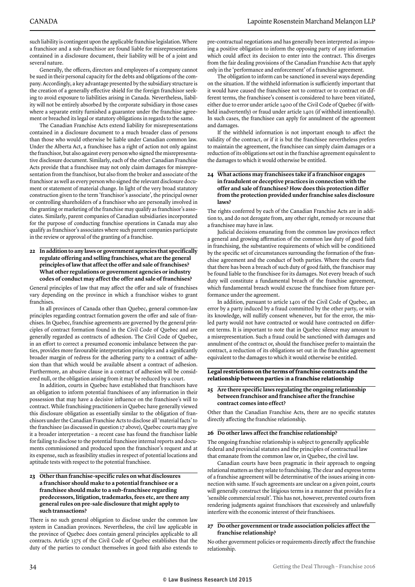such liability is contingent upon the applicable franchise legislation. Where a franchisor and a sub-franchisor are found liable for misrepresentations contained in a disclosure document, their liability will be of a joint and several nature.

Generally, the officers, directors and employees of a company cannot be sued in their personal capacity for the debts and obligations of the company. Accordingly, a key advantage presented by the subsidiary structure is the creation of a generally effective shield for the foreign franchisor seeking to avoid exposure to liabilities arising in Canada. Nevertheless, liability will not be entirely absorbed by the corporate subsidiary in those cases where a separate entity furnished a guarantee under the franchise agreement or breached its legal or statutory obligations in regards to the same.

The Canadian Franchise Acts extend liability for misrepresentations contained in a disclosure document to a much broader class of persons than those who would otherwise be liable under Canadian common law. Under the Alberta Act, a franchisee has a right of action not only against the franchisor, but also against every person who signed the misrepresentative disclosure document. Similarly, each of the other Canadian Franchise Acts provide that a franchisee may not only claim damages for misrepresentation from the franchisor, but also from the broker and associate of the franchisor as well as every person who signed the relevant disclosure document or statement of material change. In light of the very broad statutory construction given to the term 'franchisor's associate', the principal owner or controlling shareholders of a franchisor who are personally involved in the granting or marketing of the franchise may qualify as franchisor's associates. Similarly, parent companies of Canadian subsidiaries incorporated for the purpose of conducting franchise operations in Canada may also qualify as franchisor's associates where such parent companies participate in the review or approval of the granting of a franchise.

**22 In addition to any laws or government agencies that specifically regulate offering and selling franchises, what are the general principles of law that affect the offer and sale of franchises? What other regulations or government agencies or industry codes of conduct may affect the offer and sale of franchises?**

General principles of law that may affect the offer and sale of franchises vary depending on the province in which a franchisor wishes to grant franchises.

In all provinces of Canada other than Quebec, general common-law principles regarding contract formation govern the offer and sale of franchises. In Quebec, franchise agreements are governed by the general principles of contract formation found in the Civil Code of Quebec and are generally regarded as contracts of adhesion. The Civil Code of Quebec, in an effort to correct a presumed economic imbalance between the parties, provides more favourable interpretation principles and a significantly broader margin of redress for the adhering party to a contract of adhesion than that which would be available absent a contract of adhesion. Furthermore, an abusive clause in a contract of adhesion will be considered null, or the obligation arising from it may be reduced by a court.

In addition, courts in Quebec have established that franchisors have an obligation to inform potential franchisees of any information in their possession that may have a decisive influence on the franchisee's will to contract. While franchising practitioners in Quebec have generally viewed this disclosure obligation as essentially similar to the obligation of franchisors under the Canadian Franchise Acts to disclose all 'material facts' to the franchisee (as discussed in question 17 above), Quebec courts may give it a broader interpretation – a recent case has found the franchisor liable for failing to disclose to the potential franchisee internal reports and documents commissioned and produced upon the franchisor's request and at its expense, such as feasibility studies in respect of potential locations and aptitude tests with respect to the potential franchisee.

#### **23 Other than franchise-specific rules on what disclosures a franchisor should make to a potential franchisee or a franchisee should make to a sub-franchisee regarding predecessors, litigation, trademarks, fees etc, are there any general rules on pre-sale disclosure that might apply to such transactions?**

There is no such general obligation to disclose under the common law system in Canadian provinces. Nevertheless, the civil law applicable in the province of Quebec does contain general principles applicable to all contracts. Article 1375 of the Civil Code of Quebec establishes that the duty of the parties to conduct themselves in good faith also extends to

pre-contractual negotiations and has generally been interpreted as imposing a positive obligation to inform the opposing party of any information which could affect its decision to enter into the contract. This diverges from the fair dealing provisions of the Canadian Franchise Acts that apply only in the 'performance and enforcement' of a franchise agreement.

The obligation to inform can be sanctioned in several ways depending on the situation. If the withheld information is sufficiently important that it would have caused the franchisee not to contract or to contract on different terms, the franchisee's consent is considered to have been vitiated, either due to error under article 1400 of the Civil Code of Quebec (if withheld inadvertently) or fraud under article 1401 (if withheld intentionally). In such cases, the franchisee can apply for annulment of the agreement and damages.

If the withheld information is not important enough to affect the validity of the contract, or if it is but the franchisee nevertheless prefers to maintain the agreement, the franchisee can simply claim damages or a reduction of its obligations set out in the franchise agreement equivalent to the damages to which it would otherwise be entitled.

#### **24 What actions may franchisees take if a franchisor engages in fraudulent or deceptive practices in connection with the offer and sale of franchises? How does this protection differ from the protection provided under franchise sales disclosure laws?**

The rights conferred by each of the Canadian Franchise Acts are in addition to, and do not derogate from, any other right, remedy or recourse that a franchisee may have in law.

Judicial decisions emanating from the common law provinces reflect a general and growing affirmation of the common law duty of good faith in franchising, the substantive requirements of which will be conditioned by the specific set of circumstances surrounding the formation of the franchise agreement and the conduct of both parties. Where the courts find that there has been a breach of such duty of good faith, the franchisor may be found liable to the franchisee for its damages. Not every breach of such duty will constitute a fundamental breach of the franchise agreement, which fundamental breach would excuse the franchisee from future performance under the agreement.

In addition, pursuant to article 1401 of the Civil Code of Quebec, an error by a party induced by a fraud committed by the other party, or with its knowledge, will nullify consent whenever, but for the error, the misled party would not have contracted or would have contracted on different terms. It is important to note that in Quebec silence may amount to a misrepresentation. Such a fraud could be sanctioned with damages and annulment of the contract or, should the franchisee prefer to maintain the contract, a reduction of its obligations set out in the franchise agreement equivalent to the damages to which it would otherwise be entitled.

#### **Legal restrictions on the terms of franchise contracts and the relationship between parties** i**n a franchise relationship**

#### **25 Are there specific laws regulating the ongoing relationship between franchisor and franchisee after the franchise contract comes into effect?**

Other than the Canadian Franchise Acts, there are no specific statutes directly affecting the franchise relationship.

#### **26 Do other laws affect the franchise relationship?**

The ongoing franchise relationship is subject to generally applicable federal and provincial statutes and the principles of contractual law that emanate from the common law or, in Quebec, the civil law.

Canadian courts have been pragmatic in their approach to ongoing relational matters as they relate to franchising. The clear and express terms of a franchise agreement will be determinative of the issues arising in connection with same. If such agreements are unclear on a given point, courts will generally construct the litigious terms in a manner that provides for a 'sensible commercial result'. This has not, however, prevented courts from rendering judgments against franchisors that excessively and unlawfully interfere with the economic interest of their franchisees.

#### **27 Do other government or trade association policies affect the franchise relationship?**

No other government policies or requirements directly affect the franchise relationship.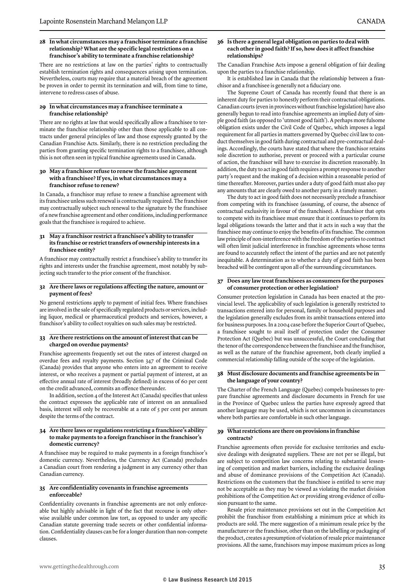#### **28 In what circumstances may a franchisor terminate a franchise relationship? What are the specific legal restrictions on a franchisor's ability to terminate a franchise relationship?**

There are no restrictions at law on the parties' rights to contractually establish termination rights and consequences arising upon termination. Nevertheless, courts may require that a material breach of the agreement be proven in order to permit its termination and will, from time to time, intervene to redress cases of abuse.

#### **29 In what circumstances may a franchisee terminate a franchise relationship?**

There are no rights at law that would specifically allow a franchisee to terminate the franchise relationship other than those applicable to all contracts under general principles of law and those expressly granted by the Canadian Franchise Acts. Similarly, there is no restriction precluding the parties from granting specific termination rights to a franchisee, although this is not often seen in typical franchise agreements used in Canada.

#### **30 May a franchisor refuse to renew the franchise agreement with a franchisee? If yes, in what circumstances may a franchisor refuse to renew?**

In Canada, a franchisor may refuse to renew a franchise agreement with its franchisee unless such renewal is contractually required. The franchisor may contractually subject such renewal to the signature by the franchisee of a new franchise agreement and other conditions, including performance goals that the franchisee is required to achieve.

#### **31 May a franchisor restrict a franchisee's ability to transfer its franchise or restrict transfers of ownership interests in a franchisee entity?**

A franchisor may contractually restrict a franchisee's ability to transfer its rights and interests under the franchise agreement, most notably by subjecting such transfer to the prior consent of the franchisor.

#### **32 Are there laws or regulations affecting the nature, amount or payment of fees?**

No general restrictions apply to payment of initial fees. Where franchises are involved in the sale of specifically regulated products or services, including liquor, medical or pharmaceutical products and services, however, a franchisor's ability to collect royalties on such sales may be restricted.

#### **33 Are there restrictions on the amount of interest that can be charged on overdue payments?**

Franchise agreements frequently set out the rates of interest charged on overdue fees and royalty payments. Section 347 of the Criminal Code (Canada) provides that anyone who enters into an agreement to receive interest, or who receives a payment or partial payment of interest, at an effective annual rate of interest (broadly defined) in excess of 60 per cent on the credit advanced, commits an offence thereunder.

In addition, section 4 of the Interest Act (Canada) specifies that unless the contract expresses the applicable rate of interest on an annualised basis, interest will only be recoverable at a rate of 5 per cent per annum despite the terms of the contract.

#### **34 Are there laws or regulations restricting a franchisee's ability to make payments to a foreign franchisor in the franchisor's domestic currency?**

A franchisee may be required to make payments in a foreign franchisor's domestic currency. Nevertheless, the Currency Act (Canada) precludes a Canadian court from rendering a judgment in any currency other than Canadian currency.

#### **35 Are confidentiality covenants in franchise agreements enforceable?**

Confidentiality covenants in franchise agreements are not only enforceable but highly advisable in light of the fact that recourse is only otherwise available under common law tort, as opposed to under any specific Canadian statute governing trade secrets or other confidential information. Confidentiality clauses can be for a longer duration than non-compete clauses.

#### **36 Is there a general legal obligation on parties to deal with each other in good faith? If so, how does it affect franchise relationships?**

The Canadian Franchise Acts impose a general obligation of fair dealing upon the parties to a franchise relationship.

It is established law in Canada that the relationship between a franchisor and a franchisee is generally not a fiduciary one.

The Supreme Court of Canada has recently found that there is an inherent duty for parties to honestly perform their contractual obligations. Canadian courts (even in provinces without franchise legislation) have also generally begun to read into franchise agreements an implied duty of simple good faith (as opposed to 'utmost good faith'). A perhaps more fulsome obligation exists under the Civil Code of Quebec, which imposes a legal requirement for all parties in matters governed by Quebec civil law to conduct themselves in good faith during contractual and pre-contractual dealings. Accordingly, the courts have stated that where the franchisor retains sole discretion to authorise, prevent or proceed with a particular course of action, the franchisor will have to exercise its discretion reasonably. In addition, the duty to act in good faith requires a prompt response to another party's request and the making of a decision within a reasonable period of time thereafter. Moreover, parties under a duty of good faith must also pay any amounts that are clearly owed to another party in a timely manner.

The duty to act in good faith does not necessarily preclude a franchisor from competing with its franchisee (assuming, of course, the absence of contractual exclusivity in favour of the franchisee). A franchisor that opts to compete with its franchisee must ensure that it continues to perform its legal obligations towards the latter and that it acts in such a way that the franchisee may continue to enjoy the benefits of its franchise. The common law principle of non-interference with the freedom of the parties to contract will often limit judicial interference in franchise agreements whose terms are found to accurately reflect the intent of the parties and are not patently inequitable. A determination as to whether a duty of good faith has been breached will be contingent upon all of the surrounding circumstances.

#### **37 Does any law treat franchisees as consumers for the purposes of consumer protection or other legislation?**

Consumer protection legislation in Canada has been enacted at the provincial level. The applicability of such legislation is generally restricted to transactions entered into for personal, family or household purposes and the legislation generally excludes from its ambit transactions entered into for business purposes. In a 2004 case before the Superior Court of Quebec, a franchisee sought to avail itself of protection under the Consumer Protection Act (Quebec) but was unsuccessful, the Court concluding that the tenor of the correspondence between the franchisee and the franchisor, as well as the nature of the franchise agreement, both clearly implied a commercial relationship falling outside of the scope of the legislation.

#### **38 Must disclosure documents and franchise agreements be in the language of your country?**

The Charter of the French Language (Quebec) compels businesses to prepare franchise agreements and disclosure documents in French for use in the Province of Quebec unless the parties have expressly agreed that another language may be used, which is not uncommon in circumstances where both parties are comfortable in such other language.

#### **39 What restrictions are there on provisions in franchise contracts?**

Franchise agreements often provide for exclusive territories and exclusive dealings with designated suppliers. These are not per se illegal, but are subject to competition law concerns relating to substantial lessening of competition and market barriers, including the exclusive dealings and abuse of dominance provisions of the Competition Act (Canada). Restrictions on the customers that the franchisee is entitled to serve may not be acceptable as they may be viewed as violating the market division prohibitions of the Competition Act or providing strong evidence of collusion pursuant to the same.

Resale price maintenance provisions set out in the Competition Act prohibit the franchisor from establishing a minimum price at which its products are sold. The mere suggestion of a minimum resale price by the manufacturer or the franchisor, other than on the labelling or packaging of the product, creates a presumption of violation of resale price maintenance provisions. All the same, franchisors may impose maximum prices as long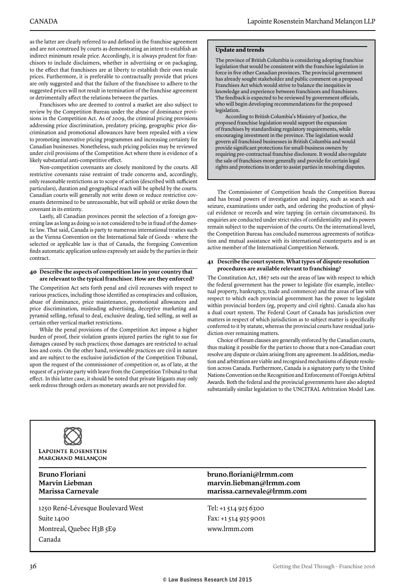as the latter are clearly referred to and defined in the franchise agreement and are not construed by courts as demonstrating an intent to establish an indirect minimum resale price. Accordingly, it is always prudent for franchisors to include disclaimers, whether in advertising or on packaging, to the effect that franchisees are at liberty to establish their own resale prices. Furthermore, it is preferable to contractually provide that prices are only suggested and that the failure of the franchisee to adhere to the suggested prices will not result in termination of the franchise agreement or detrimentally affect the relations between the parties.

Franchisors who are deemed to control a market are also subject to review by the Competition Bureau under the abuse of dominance provisions in the Competition Act. As of 2009, the criminal pricing provisions addressing price discrimination, predatory pricing, geographic price discrimination and promotional allowances have been repealed with a view to promoting innovative pricing programmes and increasing certainty for Canadian businesses. Nonetheless, such pricing policies may be reviewed under civil provisions of the Competition Act where there is evidence of a likely substantial anti-competitive effect.

Non-competition covenants are closely monitored by the courts. All restrictive covenants raise restraint of trade concerns and, accordingly, only reasonable restrictions as to scope of action (described with sufficient particulars), duration and geographical reach will be upheld by the courts. Canadian courts will generally not write down or reduce restrictive covenants determined to be unreasonable, but will uphold or strike down the covenant in its entirety.

Lastly, all Canadian provinces permit the selection of a foreign governing law as long as doing so is not considered to be in fraud of the domestic law. That said, Canada is party to numerous international treaties such as the Vienna Convention on the International Sale of Goods – where the selected or applicable law is that of Canada, the foregoing Convention finds automatic application unless expressly set aside by the parties in their contract.

#### **40 Describe the aspects of competition law in your country that are relevant to the typical franchisor. How are they enforced?**

The Competition Act sets forth penal and civil recourses with respect to various practices, including those identified as conspiracies and collusion, abuse of dominance, price maintenance, promotional allowances and price discrimination, misleading advertising, deceptive marketing and pyramid selling, refusal to deal, exclusive dealing, tied selling, as well as certain other vertical market restrictions.

While the penal provisions of the Competition Act impose a higher burden of proof, their violation grants injured parties the right to sue for damages caused by such practices; those damages are restricted to actual loss and costs. On the other hand, reviewable practices are civil in nature and are subject to the exclusive jurisdiction of the Competition Tribunal, upon the request of the commissioner of competition or, as of late, at the request of a private party with leave from the Competition Tribunal to that effect. In this latter case, it should be noted that private litigants may only seek redress through orders as monetary awards are not provided for.

#### **Update and trends**

The province of British Columbia is considering adopting franchise legislation that would be consistent with the franchise legislation in force in five other Canadian provinces. The provincial government has already sought stakeholder and public comment on a proposed Franchises Act which would strive to balance the inequities in knowledge and experience between franchisors and franchisees. The feedback is expected to be reviewed by government officials, who will begin developing recommendations for the proposed legislation.

According to British Columbia's Ministry of Justice, the proposed franchise legislation would support the expansion of franchises by standardising regulatory requirements, while encouraging investment in the province. The legislation would govern all franchised businesses in British Columbia and would provide significant protections for small-business owners by requiring pre-contractual franchise disclosure. It would also regulate the sale of franchises more generally and provide for certain legal rights and protections in order to assist parties in resolving disputes.

The Commissioner of Competition heads the Competition Bureau and has broad powers of investigation and inquiry, such as search and seizure, examinations under oath, and ordering the production of physical evidence or records and wire tapping (in certain circumstances). Its enquiries are conducted under strict rules of confidentiality and its powers remain subject to the supervision of the courts. On the international level, the Competition Bureau has concluded numerous agreements of notification and mutual assistance with its international counterparts and is an active member of the International Competition Network.

#### **41 Describe the court system. What types of dispute resolution procedures are available relevant to franchising?**

The Constitution Act, 1867 sets out the areas of law with respect to which the federal government has the power to legislate (for example, intellectual property, bankruptcy, trade and commerce) and the areas of law with respect to which each provincial government has the power to legislate within provincial borders (eg, property and civil rights). Canada also has a dual court system. The Federal Court of Canada has jurisdiction over matters in respect of which jurisdiction as to subject matter is specifically conferred to it by statute, whereas the provincial courts have residual jurisdiction over remaining matters.

Choice of forum clauses are generally enforced by the Canadian courts, thus making it possible for the parties to choose that a non-Canadian court resolve any dispute or claim arising from any agreement. In addition, mediation and arbitration are viable and recognised mechanisms of dispute resolution across Canada. Furthermore, Canada is a signatory party to the United Nations Convention on the Recognition and Enforcement of Foreign Arbitral Awards. Both the federal and the provincial governments have also adopted substantially similar legislation to the UNCITRAL Arbitration Model Law.



1250 René-Lévesque Boulevard West Suite 1400 Montreal, Quebec H3B 5E9 Canada

#### **Bruno Floriani bruno.floriani@lrmm.com Marvin Liebman marvin.liebman@lrmm.com Marissa Carnevale marissa.carnevale@lrmm.com**

Tel: +1 514 925 6300 Fax: +1 514 925 9001 www.lrmm.com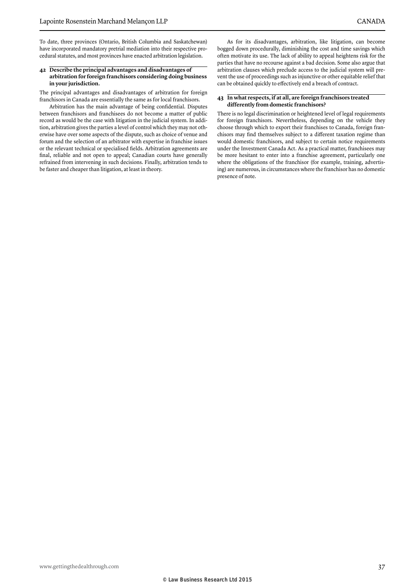To date, three provinces (Ontario, British Columbia and Saskatchewan) have incorporated mandatory pretrial mediation into their respective procedural statutes, and most provinces have enacted arbitration legislation.

#### **42 Describe the principal advantages and disadvantages of arbitration for foreign franchisors considering doing business in your jurisdiction.**

The principal advantages and disadvantages of arbitration for foreign franchisors in Canada are essentially the same as for local franchisors.

Arbitration has the main advantage of being confidential. Disputes between franchisors and franchisees do not become a matter of public record as would be the case with litigation in the judicial system. In addition, arbitration gives the parties a level of control which they may not otherwise have over some aspects of the dispute, such as choice of venue and forum and the selection of an arbitrator with expertise in franchise issues or the relevant technical or specialised fields. Arbitration agreements are final, reliable and not open to appeal; Canadian courts have generally refrained from intervening in such decisions. Finally, arbitration tends to be faster and cheaper than litigation, at least in theory.

As for its disadvantages, arbitration, like litigation, can become bogged down procedurally, diminishing the cost and time savings which often motivate its use. The lack of ability to appeal heightens risk for the parties that have no recourse against a bad decision. Some also argue that arbitration clauses which preclude access to the judicial system will prevent the use of proceedings such as injunctive or other equitable relief that can be obtained quickly to effectively end a breach of contract.

#### **43 In what respects, if at all, are foreign franchisors treated differently from domestic franchisors?**

There is no legal discrimination or heightened level of legal requirements for foreign franchisors. Nevertheless, depending on the vehicle they choose through which to export their franchises to Canada, foreign franchisors may find themselves subject to a different taxation regime than would domestic franchisors, and subject to certain notice requirements under the Investment Canada Act. As a practical matter, franchisees may be more hesitant to enter into a franchise agreement, particularly one where the obligations of the franchisor (for example, training, advertising) are numerous, in circumstances where the franchisor has no domestic presence of note.